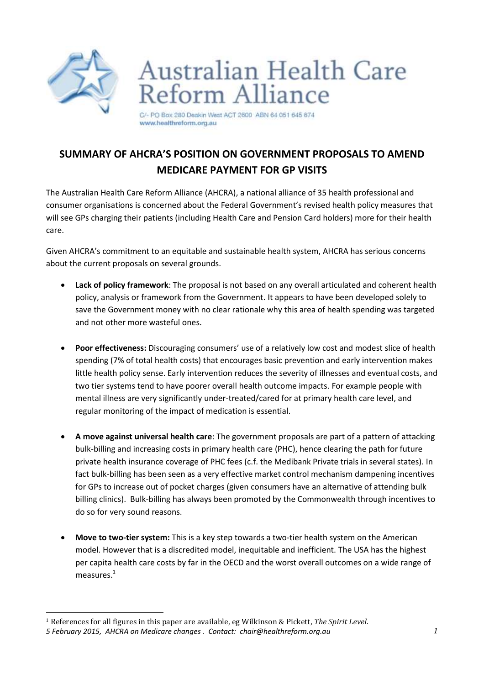

## Australian Health Care<br>Reform Alliance

C/- PO Box 280 Deakin West ACT 2600 ABN 64 051 645 674 www.healthreform.org.au

## **SUMMARY OF AHCRA'S POSITION ON GOVERNMENT PROPOSALS TO AMEND MEDICARE PAYMENT FOR GP VISITS**

The Australian Health Care Reform Alliance (AHCRA), a national alliance of 35 health professional and consumer organisations is concerned about the Federal Government's revised health policy measures that will see GPs charging their patients (including Health Care and Pension Card holders) more for their health care.

Given AHCRA's commitment to an equitable and sustainable health system, AHCRA has serious concerns about the current proposals on several grounds.

- **Lack of policy framework**: The proposal is not based on any overall articulated and coherent health policy, analysis or framework from the Government. It appears to have been developed solely to save the Government money with no clear rationale why this area of health spending was targeted and not other more wasteful ones.
- **Poor effectiveness:** Discouraging consumers' use of a relatively low cost and modest slice of health spending (7% of total health costs) that encourages basic prevention and early intervention makes little health policy sense. Early intervention reduces the severity of illnesses and eventual costs, and two tier systems tend to have poorer overall health outcome impacts. For example people with mental illness are very significantly under-treated/cared for at primary health care level, and regular monitoring of the impact of medication is essential.
- **A move against universal health care**: The government proposals are part of a pattern of attacking bulk-billing and increasing costs in primary health care (PHC), hence clearing the path for future private health insurance coverage of PHC fees (c.f. the Medibank Private trials in several states). In fact bulk-billing has been seen as a very effective market control mechanism dampening incentives for GPs to increase out of pocket charges (given consumers have an alternative of attending bulk billing clinics). Bulk-billing has always been promoted by the Commonwealth through incentives to do so for very sound reasons.
- **Move to two-tier system:** This is a key step towards a two-tier health system on the American model. However that is a discredited model, inequitable and inefficient. The USA has the highest per capita health care costs by far in the OECD and the worst overall outcomes on a wide range of measures.<sup>1</sup>

*<sup>5</sup> February 2015, AHCRA on Medicare changes . Contact: chair@healthreform.org.au 1* l <sup>1</sup> References for all figures in this paper are available, eg Wilkinson & Pickett, *The Spirit Level*.